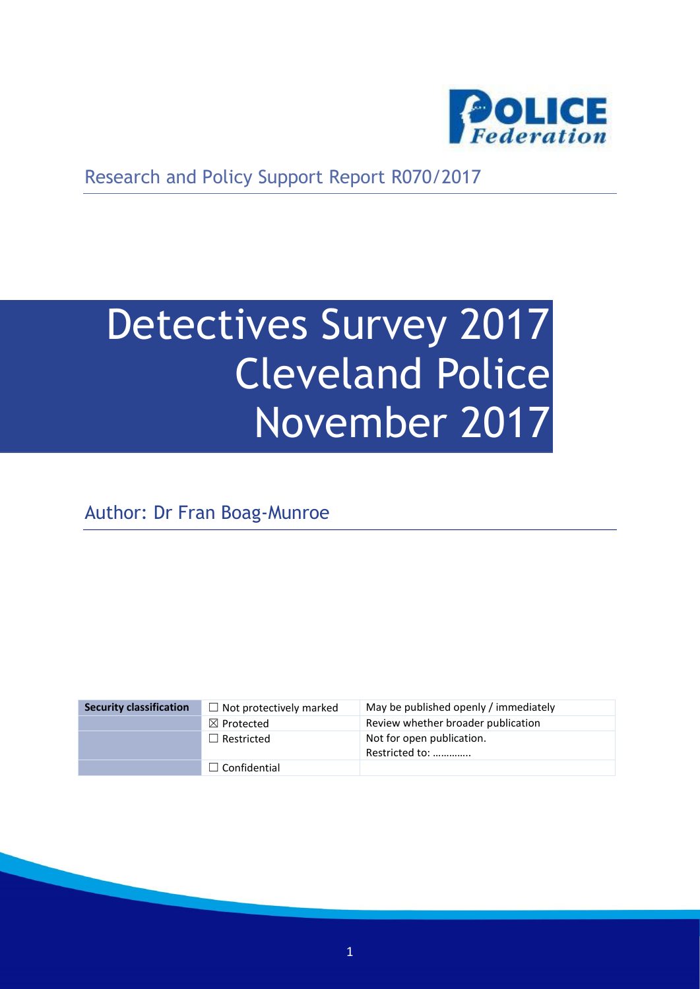

Research and Policy Support Report R070/2017

# Detectives Survey 2017 Cleveland Police November 2017

Author: Dr Fran Boag-Munroe

| <b>Security classification</b> | $\Box$ Not protectively marked | May be published openly / immediately       |
|--------------------------------|--------------------------------|---------------------------------------------|
|                                | $\boxtimes$ Protected          | Review whether broader publication          |
|                                | $\Box$ Restricted              | Not for open publication.<br>Restricted to: |
|                                | $\Box$ Confidential            |                                             |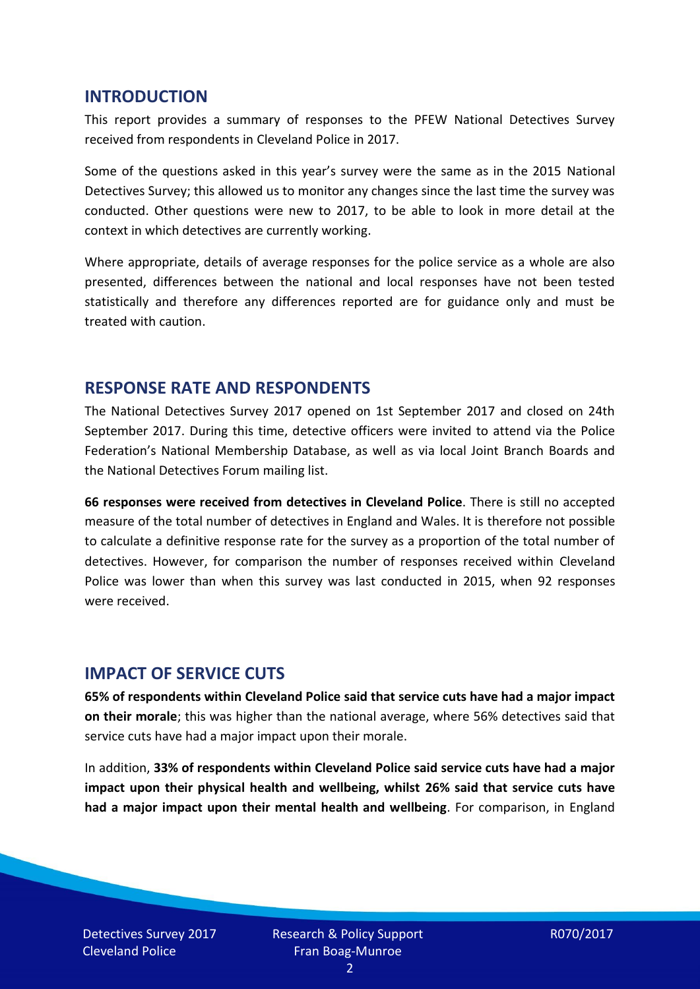#### **INTRODUCTION**

This report provides a summary of responses to the PFEW National Detectives Survey received from respondents in Cleveland Police in 2017.

Some of the questions asked in this year's survey were the same as in the 2015 National Detectives Survey; this allowed us to monitor any changes since the last time the survey was conducted. Other questions were new to 2017, to be able to look in more detail at the context in which detectives are currently working.

Where appropriate, details of average responses for the police service as a whole are also presented, differences between the national and local responses have not been tested statistically and therefore any differences reported are for guidance only and must be treated with caution.

#### **RESPONSE RATE AND RESPONDENTS**

The National Detectives Survey 2017 opened on 1st September 2017 and closed on 24th September 2017. During this time, detective officers were invited to attend via the Police Federation's National Membership Database, as well as via local Joint Branch Boards and the National Detectives Forum mailing list.

**66 responses were received from detectives in Cleveland Police**. There is still no accepted measure of the total number of detectives in England and Wales. It is therefore not possible to calculate a definitive response rate for the survey as a proportion of the total number of detectives. However, for comparison the number of responses received within Cleveland Police was lower than when this survey was last conducted in 2015, when 92 responses were received.

#### **IMPACT OF SERVICE CUTS**

**65% of respondents within Cleveland Police said that service cuts have had a major impact on their morale**; this was higher than the national average, where 56% detectives said that service cuts have had a major impact upon their morale.

In addition, **33% of respondents within Cleveland Police said service cuts have had a major impact upon their physical health and wellbeing, whilst 26% said that service cuts have had a major impact upon their mental health and wellbeing**. For comparison, in England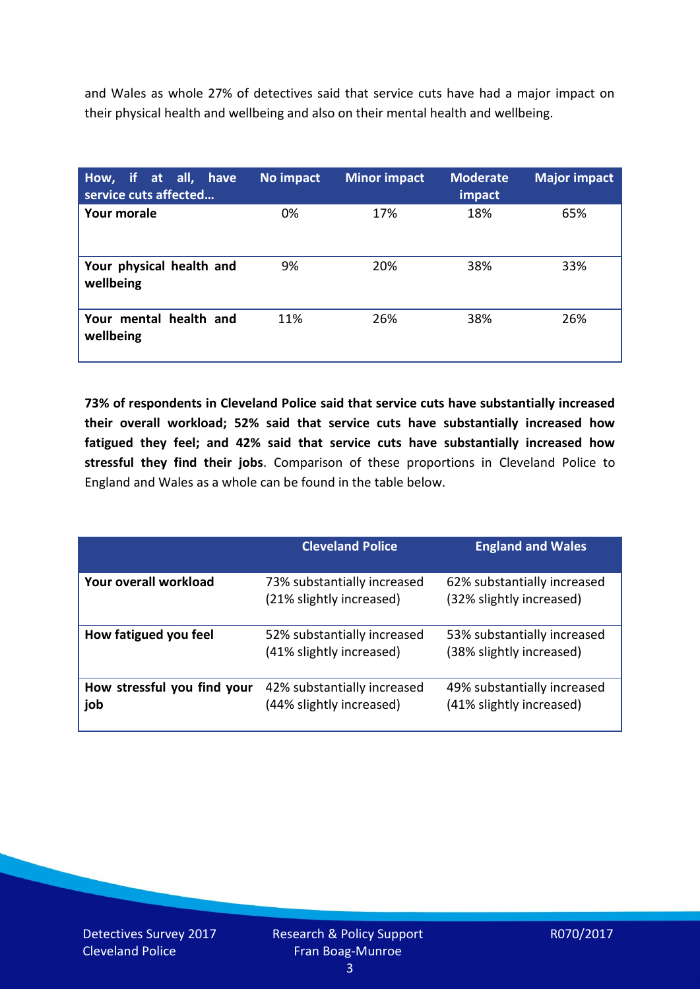and Wales as whole 27% of detectives said that service cuts have had a major impact on their physical health and wellbeing and also on their mental health and wellbeing.

| How, if at all, have<br>service cuts affected | No impact | <b>Minor impact</b> | <b>Moderate</b><br>impact | <b>Major impact</b> |
|-----------------------------------------------|-----------|---------------------|---------------------------|---------------------|
| Your morale                                   | 0%        | 17%                 | 18%                       | 65%                 |
| Your physical health and<br>wellbeing         | 9%        | 20%                 | 38%                       | 33%                 |
| Your mental health and<br>wellbeing           | 11%       | 26%                 | 38%                       | 26%                 |

**73% of respondents in Cleveland Police said that service cuts have substantially increased their overall workload; 52% said that service cuts have substantially increased how fatigued they feel; and 42% said that service cuts have substantially increased how stressful they find their jobs**. Comparison of these proportions in Cleveland Police to England and Wales as a whole can be found in the table below.

|                                    | <b>Cleveland Police</b>                                 | <b>England and Wales</b>                                |
|------------------------------------|---------------------------------------------------------|---------------------------------------------------------|
| Your overall workload              | 73% substantially increased<br>(21% slightly increased) | 62% substantially increased<br>(32% slightly increased) |
| How fatigued you feel              | 52% substantially increased<br>(41% slightly increased) | 53% substantially increased<br>(38% slightly increased) |
| How stressful you find your<br>job | 42% substantially increased<br>(44% slightly increased) | 49% substantially increased<br>(41% slightly increased) |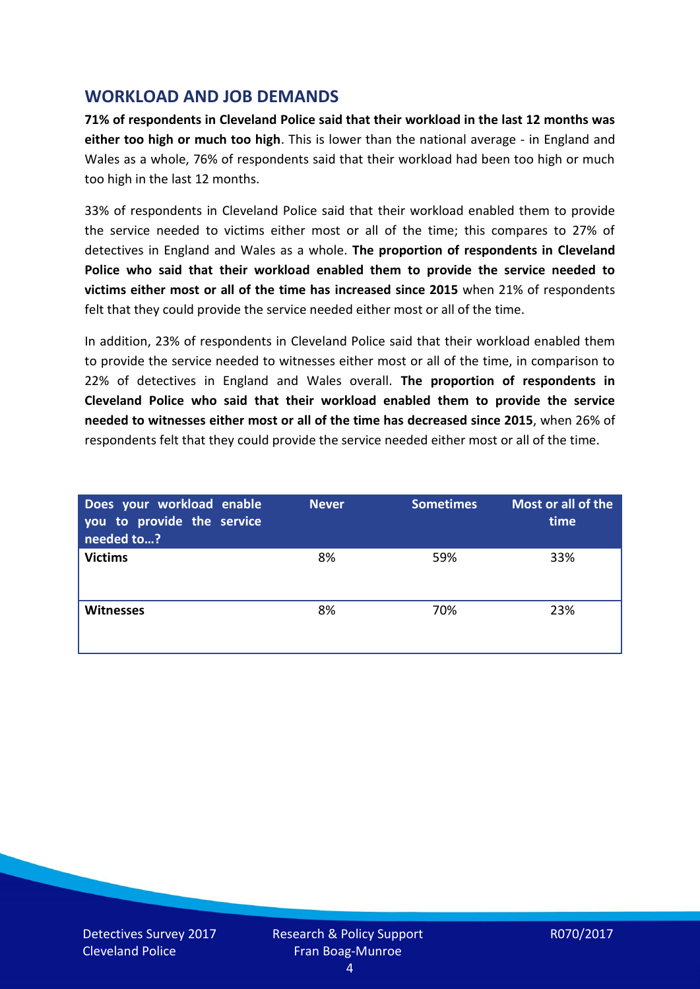## **WORKLOAD AND JOB DEMANDS**

**71% of respondents in Cleveland Police said that their workload in the last 12 months was either too high or much too high**. This is lower than the national average - in England and Wales as a whole, 76% of respondents said that their workload had been too high or much too high in the last 12 months.

33% of respondents in Cleveland Police said that their workload enabled them to provide the service needed to victims either most or all of the time; this compares to 27% of detectives in England and Wales as a whole. **The proportion of respondents in Cleveland Police who said that their workload enabled them to provide the service needed to victims either most or all of the time has increased since 2015** when 21% of respondents felt that they could provide the service needed either most or all of the time.

In addition, 23% of respondents in Cleveland Police said that their workload enabled them to provide the service needed to witnesses either most or all of the time, in comparison to 22% of detectives in England and Wales overall. **The proportion of respondents in Cleveland Police who said that their workload enabled them to provide the service needed to witnesses either most or all of the time has decreased since 2015**, when 26% of respondents felt that they could provide the service needed either most or all of the time.

| Does your workload enable<br>you to provide the service<br>needed to? | <b>Never</b> | <b>Sometimes</b> | Most or all of the<br>time |
|-----------------------------------------------------------------------|--------------|------------------|----------------------------|
| <b>Victims</b>                                                        | 8%           | 59%              | 33%                        |
| <b>Witnesses</b>                                                      | 8%           | 70%              | 23%                        |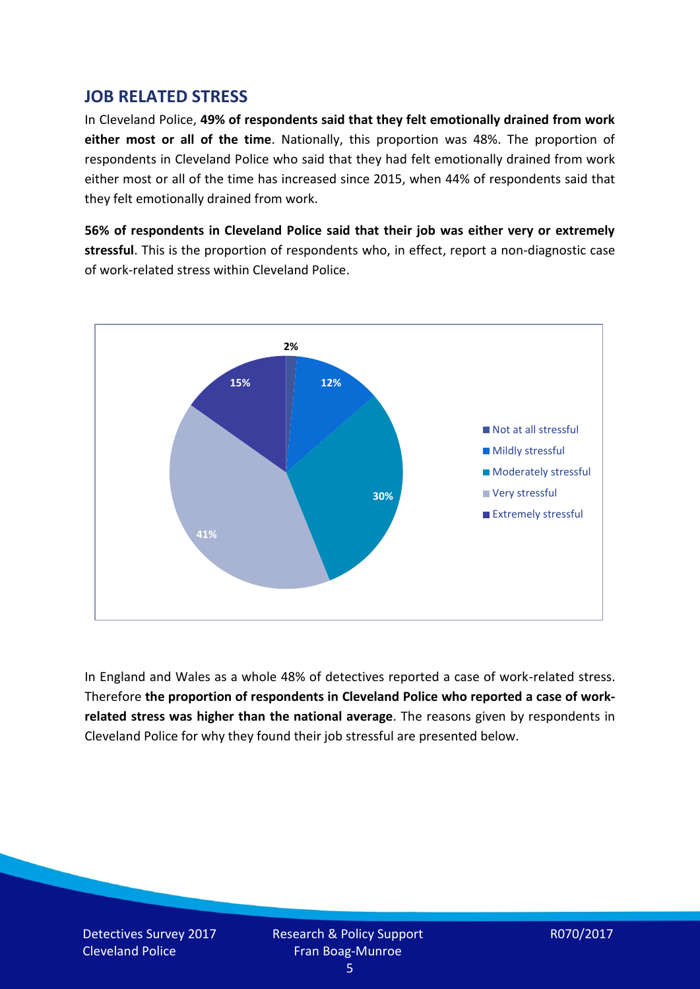## **JOB RELATED STRESS**

In Cleveland Police, **49% of respondents said that they felt emotionally drained from work either most or all of the time**. Nationally, this proportion was 48%. The proportion of respondents in Cleveland Police who said that they had felt emotionally drained from work either most or all of the time has increased since 2015, when 44% of respondents said that they felt emotionally drained from work.

**56% of respondents in Cleveland Police said that their job was either very or extremely stressful**. This is the proportion of respondents who, in effect, report a non-diagnostic case of work-related stress within Cleveland Police.



In England and Wales as a whole 48% of detectives reported a case of work-related stress. Therefore **the proportion of respondents in Cleveland Police who reported a case of workrelated stress was higher than the national average**. The reasons given by respondents in Cleveland Police for why they found their job stressful are presented below.

Detectives Survey 2017 Cleveland Police

Research & Policy Support Fran Boag-Munroe

R070/2017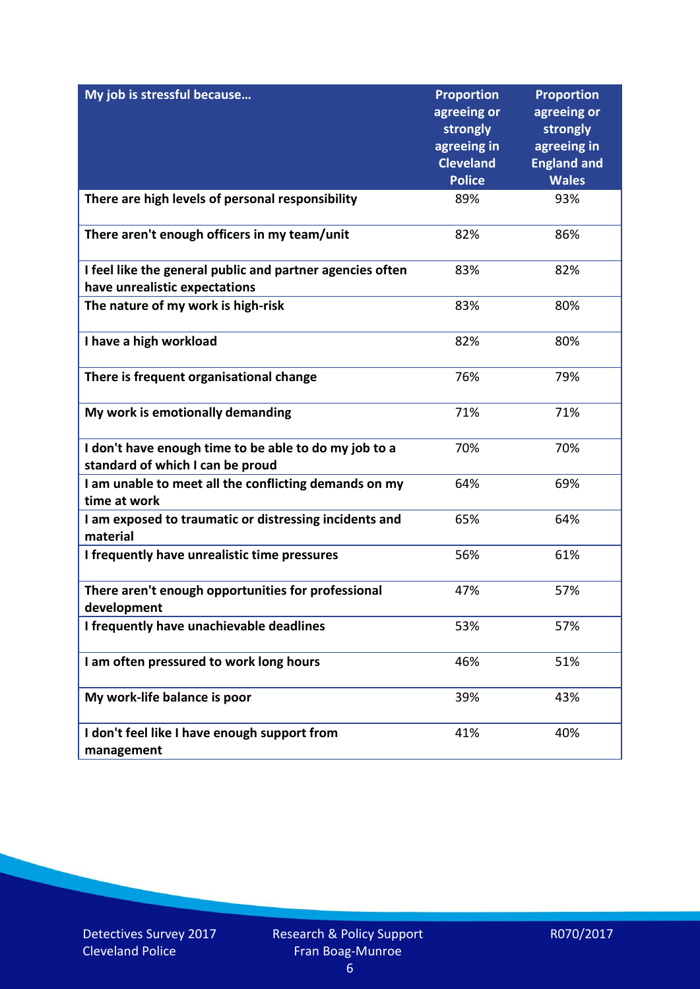| My job is stressful because                                                                | <b>Proportion</b><br>agreeing or<br>strongly<br>agreeing in<br><b>Cleveland</b> | <b>Proportion</b><br>agreeing or<br>strongly<br>agreeing in<br><b>England and</b> |
|--------------------------------------------------------------------------------------------|---------------------------------------------------------------------------------|-----------------------------------------------------------------------------------|
|                                                                                            | <b>Police</b>                                                                   | <b>Wales</b>                                                                      |
| There are high levels of personal responsibility                                           | 89%                                                                             | 93%                                                                               |
| There aren't enough officers in my team/unit                                               | 82%                                                                             | 86%                                                                               |
| I feel like the general public and partner agencies often<br>have unrealistic expectations | 83%                                                                             | 82%                                                                               |
| The nature of my work is high-risk                                                         | 83%                                                                             | 80%                                                                               |
| I have a high workload                                                                     | 82%                                                                             | 80%                                                                               |
| There is frequent organisational change                                                    | 76%                                                                             | 79%                                                                               |
| My work is emotionally demanding                                                           | 71%                                                                             | 71%                                                                               |
| I don't have enough time to be able to do my job to a<br>standard of which I can be proud  | 70%                                                                             | 70%                                                                               |
| I am unable to meet all the conflicting demands on my<br>time at work                      | 64%                                                                             | 69%                                                                               |
| I am exposed to traumatic or distressing incidents and<br>material                         | 65%                                                                             | 64%                                                                               |
| I frequently have unrealistic time pressures                                               | 56%                                                                             | 61%                                                                               |
| There aren't enough opportunities for professional<br>development                          | 47%                                                                             | 57%                                                                               |
| I frequently have unachievable deadlines                                                   | 53%                                                                             | 57%                                                                               |
| I am often pressured to work long hours                                                    | 46%                                                                             | 51%                                                                               |
| My work-life balance is poor                                                               | 39%                                                                             | 43%                                                                               |
| I don't feel like I have enough support from<br>management                                 | 41%                                                                             | 40%                                                                               |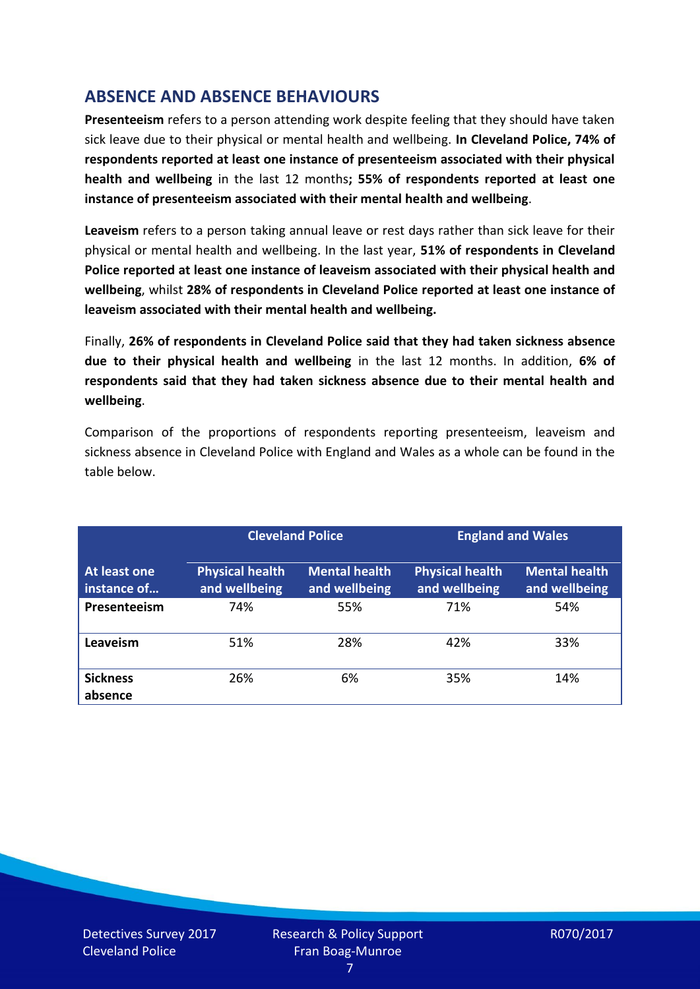# **ABSENCE AND ABSENCE BEHAVIOURS**

**Presenteeism** refers to a person attending work despite feeling that they should have taken sick leave due to their physical or mental health and wellbeing. **In Cleveland Police, 74% of respondents reported at least one instance of presenteeism associated with their physical health and wellbeing** in the last 12 months**; 55% of respondents reported at least one instance of presenteeism associated with their mental health and wellbeing**.

**Leaveism** refers to a person taking annual leave or rest days rather than sick leave for their physical or mental health and wellbeing. In the last year, **51% of respondents in Cleveland Police reported at least one instance of leaveism associated with their physical health and wellbeing**, whilst **28% of respondents in Cleveland Police reported at least one instance of leaveism associated with their mental health and wellbeing.**

Finally, **26% of respondents in Cleveland Police said that they had taken sickness absence due to their physical health and wellbeing** in the last 12 months. In addition, **6% of respondents said that they had taken sickness absence due to their mental health and wellbeing**.

Comparison of the proportions of respondents reporting presenteeism, leaveism and sickness absence in Cleveland Police with England and Wales as a whole can be found in the table below.

|                             | <b>Cleveland Police</b>                 |                                       | <b>England and Wales</b>                |                                       |
|-----------------------------|-----------------------------------------|---------------------------------------|-----------------------------------------|---------------------------------------|
| At least one<br>instance of | <b>Physical health</b><br>and wellbeing | <b>Mental health</b><br>and wellbeing | <b>Physical health</b><br>and wellbeing | <b>Mental health</b><br>and wellbeing |
| Presenteeism                | 74%                                     | 55%                                   | 71%                                     | 54%                                   |
| Leaveism                    | 51%                                     | 28%                                   | 42%                                     | 33%                                   |
| <b>Sickness</b><br>absence  | 26%                                     | 6%                                    | 35%                                     | 14%                                   |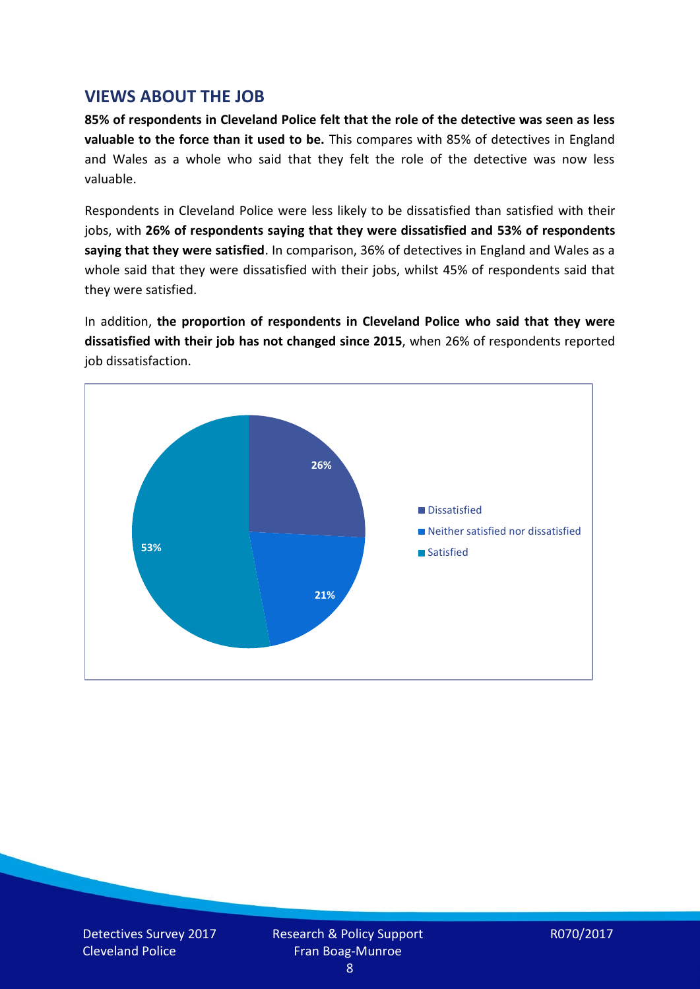## **VIEWS ABOUT THE JOB**

**85% of respondents in Cleveland Police felt that the role of the detective was seen as less valuable to the force than it used to be.** This compares with 85% of detectives in England and Wales as a whole who said that they felt the role of the detective was now less valuable.

Respondents in Cleveland Police were less likely to be dissatisfied than satisfied with their jobs, with **26% of respondents saying that they were dissatisfied and 53% of respondents saying that they were satisfied**. In comparison, 36% of detectives in England and Wales as a whole said that they were dissatisfied with their jobs, whilst 45% of respondents said that they were satisfied.

In addition, **the proportion of respondents in Cleveland Police who said that they were dissatisfied with their job has not changed since 2015**, when 26% of respondents reported job dissatisfaction.

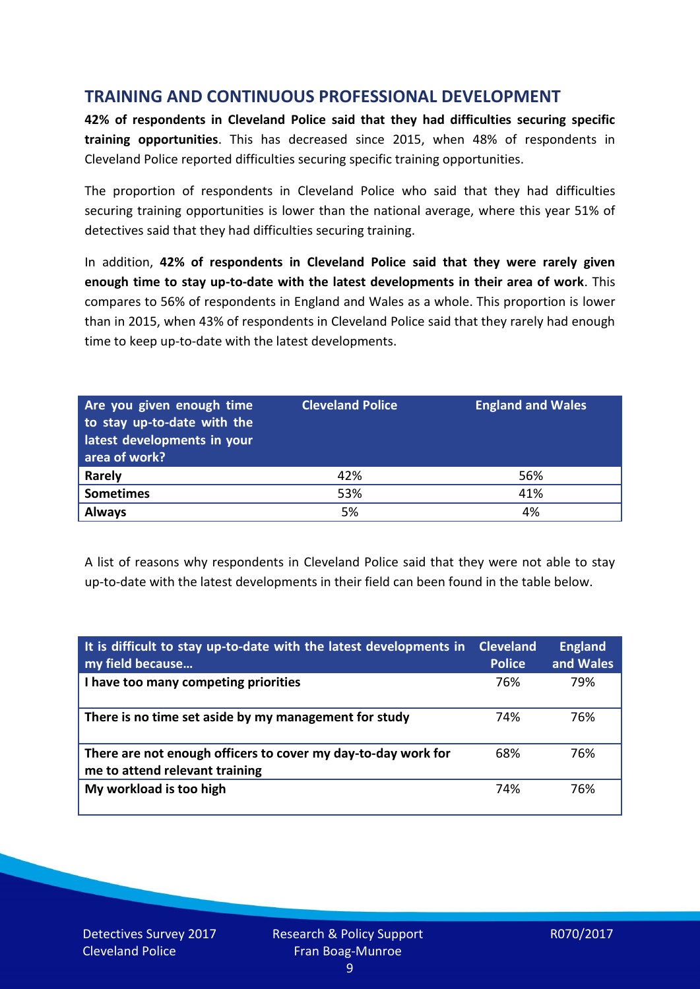## **TRAINING AND CONTINUOUS PROFESSIONAL DEVELOPMENT**

**42% of respondents in Cleveland Police said that they had difficulties securing specific training opportunities**. This has decreased since 2015, when 48% of respondents in Cleveland Police reported difficulties securing specific training opportunities.

The proportion of respondents in Cleveland Police who said that they had difficulties securing training opportunities is lower than the national average, where this year 51% of detectives said that they had difficulties securing training.

In addition, **42% of respondents in Cleveland Police said that they were rarely given enough time to stay up-to-date with the latest developments in their area of work**. This compares to 56% of respondents in England and Wales as a whole. This proportion is lower than in 2015, when 43% of respondents in Cleveland Police said that they rarely had enough time to keep up-to-date with the latest developments.

| Are you given enough time<br>to stay up-to-date with the<br>latest developments in your<br>area of work? | <b>Cleveland Police</b> | <b>England and Wales</b> |
|----------------------------------------------------------------------------------------------------------|-------------------------|--------------------------|
| Rarely                                                                                                   | 42%                     | 56%                      |
| <b>Sometimes</b>                                                                                         | 53%                     | 41%                      |
| <b>Always</b>                                                                                            | 5%                      | 4%                       |

A list of reasons why respondents in Cleveland Police said that they were not able to stay up-to-date with the latest developments in their field can been found in the table below.

| It is difficult to stay up-to-date with the latest developments in<br>my field because          | <b>Cleveland</b><br><b>Police</b> | <b>England</b><br>and Wales |
|-------------------------------------------------------------------------------------------------|-----------------------------------|-----------------------------|
| I have too many competing priorities                                                            | 76%                               | 79%                         |
| There is no time set aside by my management for study                                           | 74%                               | 76%                         |
| There are not enough officers to cover my day-to-day work for<br>me to attend relevant training | 68%                               | 76%                         |
| My workload is too high                                                                         | 74%                               | 76%                         |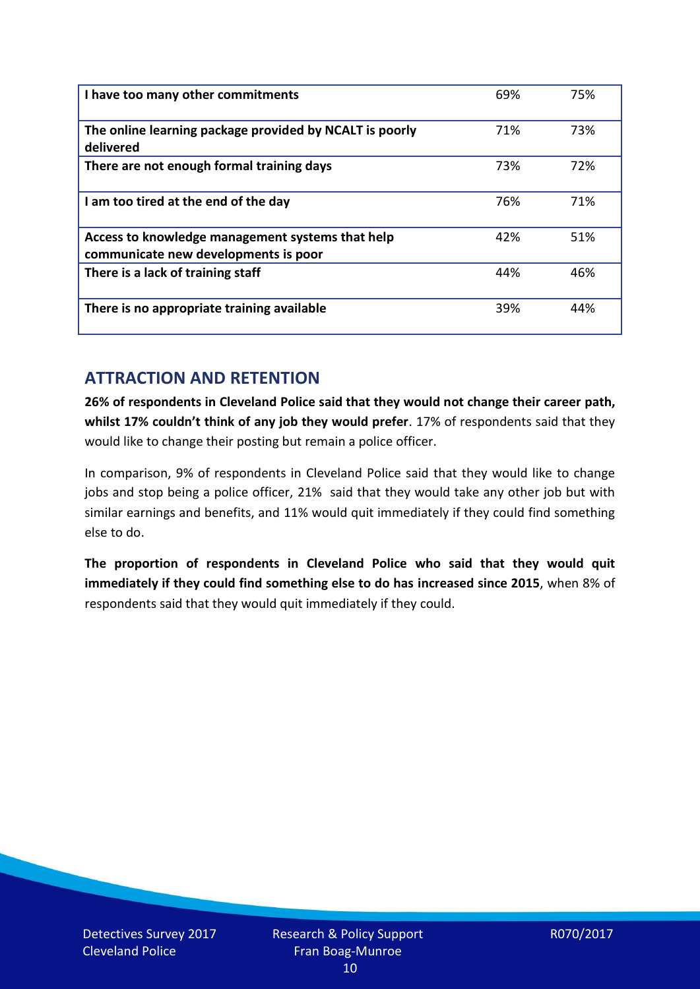| I have too many other commitments                                                        | 69% | 75% |
|------------------------------------------------------------------------------------------|-----|-----|
| The online learning package provided by NCALT is poorly<br>delivered                     | 71% | 73% |
| There are not enough formal training days                                                | 73% | 72% |
| I am too tired at the end of the day                                                     | 76% | 71% |
| Access to knowledge management systems that help<br>communicate new developments is poor | 42% | 51% |
| There is a lack of training staff                                                        | 44% | 46% |
| There is no appropriate training available                                               | 39% | 44% |

# **ATTRACTION AND RETENTION**

**26% of respondents in Cleveland Police said that they would not change their career path, whilst 17% couldn't think of any job they would prefer**. 17% of respondents said that they would like to change their posting but remain a police officer.

In comparison, 9% of respondents in Cleveland Police said that they would like to change jobs and stop being a police officer, 21% said that they would take any other job but with similar earnings and benefits, and 11% would quit immediately if they could find something else to do.

**The proportion of respondents in Cleveland Police who said that they would quit immediately if they could find something else to do has increased since 2015**, when 8% of respondents said that they would quit immediately if they could.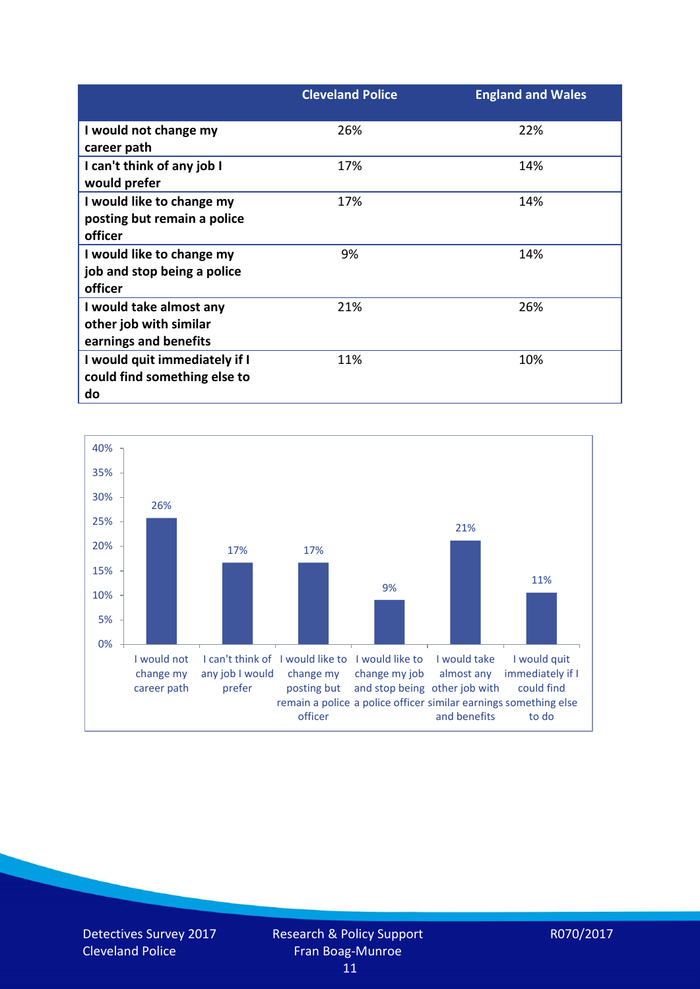|                                                                            | <b>Cleveland Police</b> | <b>England and Wales</b> |
|----------------------------------------------------------------------------|-------------------------|--------------------------|
| I would not change my<br>career path                                       | 26%                     | 22%                      |
| I can't think of any job I<br>would prefer                                 | 17%                     | 14%                      |
| I would like to change my<br>posting but remain a police<br>officer        | 17%                     | 14%                      |
| I would like to change my<br>job and stop being a police<br>officer        | 9%                      | 14%                      |
| I would take almost any<br>other job with similar<br>earnings and benefits | 21%                     | 26%                      |
| I would quit immediately if I<br>could find something else to<br>do        | 11%                     | 10%                      |